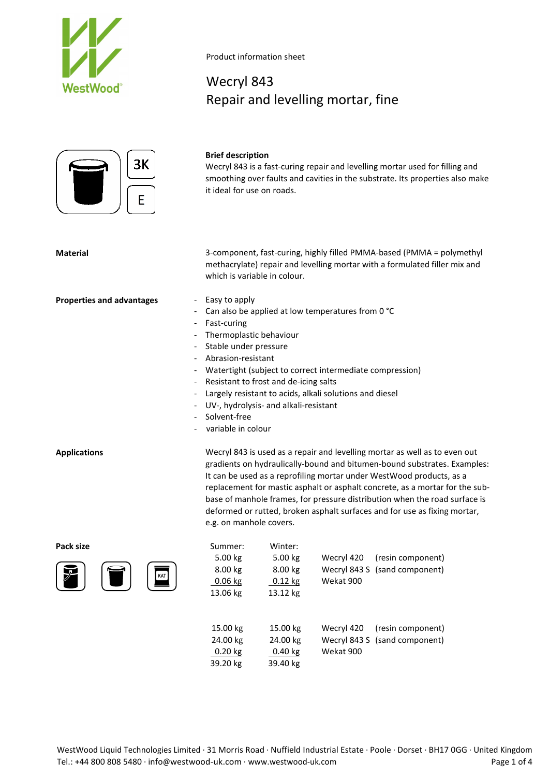

# Product information sheet

# Wecryl 843 Repair and levelling mortar, fine



# **Brief description**

Wecryl 843 is a fast-curing repair and levelling mortar used for filling and smoothing over faults and cavities in the substrate. Its properties also make it ideal for use on roads.

**Material** 3-component, fast-curing, highly filled PMMA-based (PMMA = polymethyl methacrylate) repair and levelling mortar with a formulated filler mix and which is variable in colour.

- **Properties and advantages** Easy to apply
	- Can also be applied at low temperatures from 0 °C
	- Fast-curing
	- Thermoplastic behaviour
	- Stable under pressure
	- Abrasion-resistant
	- Watertight (subject to correct intermediate compression)
	- Resistant to frost and de-icing salts
	- Largely resistant to acids, alkali solutions and diesel
	- UV-, hydrolysis- and alkali-resistant
	- Solvent-free
	- variable in colour

**Applications** Wecryl 843 is used as a repair and levelling mortar as well as to even out gradients on hydraulically-bound and bitumen-bound substrates. Examples: It can be used as a reprofiling mortar under WestWood products, as a replacement for mastic asphalt or asphalt concrete, as a mortar for the subbase of manhole frames, for pressure distribution when the road surface is deformed or rutted, broken asphalt surfaces and for use as fixing mortar, e.g. on manhole covers.

**Pack size** 



| Ŧ. | Summer:<br>5.00 kg<br>8.00 kg<br>$0.06$ kg<br>13.06 kg | Winter:<br>5.00 kg<br>8.00 kg<br>$0.12$ kg<br>13.12 kg | Wecryl 420<br>Wekat 900 | (resin component)<br>Wecryl 843 S (sand component) |
|----|--------------------------------------------------------|--------------------------------------------------------|-------------------------|----------------------------------------------------|
|    | 100k                                                   | $100 \text{ kg}$                                       | $M_{\text{peak}}$ $120$ | $(constant$ component)                             |

15.00 kg 15.00 kg Wecryl 420 (resin component) 24.00 kg 24.00 kg Wecryl 843 S (sand component) 0.20 kg 0.40 kg Wekat 900 39.20 kg 39.40 kg

WestWood Liquid Technologies Limited · 31 Morris Road · Nuffield Industrial Estate · Poole · Dorset · BH17 0GG · United Kingdom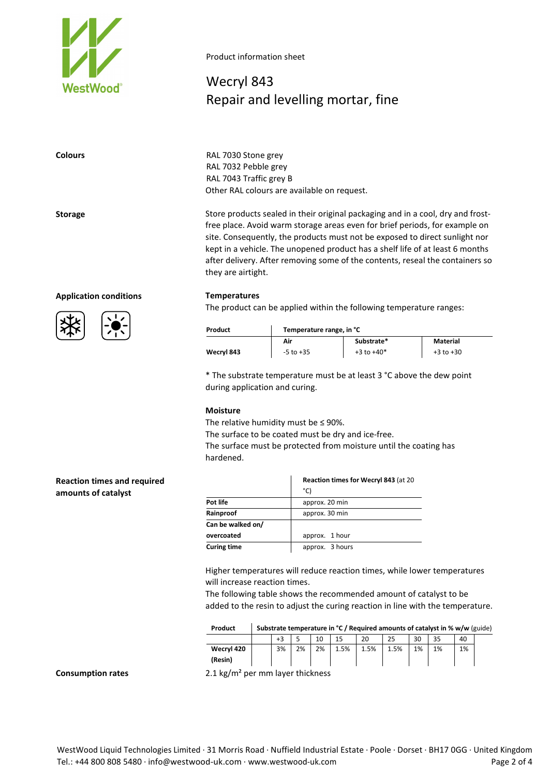

# Product information sheet

# Wecryl 843 Repair and levelling mortar, fine

**Colours** RAL 7030 Stone grey RAL 7032 Pebble grey RAL 7043 Traffic grey B Other RAL colours are available on request.

**Storage** Store products sealed in their original packaging and in a cool, dry and frostfree place. Avoid warm storage areas even for brief periods, for example on site. Consequently, the products must not be exposed to direct sunlight nor kept in a vehicle. The unopened product has a shelf life of at least 6 months after delivery. After removing some of the contents, reseal the containers so they are airtight.

## **Application conditions Temperatures**

The product can be applied within the following temperature ranges:

| Product    | Temperature range, in °C |                |               |  |  |
|------------|--------------------------|----------------|---------------|--|--|
|            | Air                      | Substrate*     | Material      |  |  |
| Wecryl 843 | $-5$ to $+35$            | $+3$ to $+40*$ | $+3$ to $+30$ |  |  |

\* The substrate temperature must be at least 3 °C above the dew point during application and curing.

## **Moisture**

The relative humidity must be  $\leq$  90%.

The surface to be coated must be dry and ice-free.

The surface must be protected from moisture until the coating has hardened.

# **Reaction times and required amounts of catalyst**

|                    | Reaction times for Wecryl 843 (at 20 |  |  |  |
|--------------------|--------------------------------------|--|--|--|
|                    | °C)                                  |  |  |  |
| Pot life           | approx. 20 min                       |  |  |  |
| Rainproof          | approx. 30 min                       |  |  |  |
| Can be walked on/  |                                      |  |  |  |
| overcoated         | approx. 1 hour                       |  |  |  |
| <b>Curing time</b> | approx. 3 hours                      |  |  |  |

Higher temperatures will reduce reaction times, while lower temperatures will increase reaction times.

The following table shows the recommended amount of catalyst to be added to the resin to adjust the curing reaction in line with the temperature.

| Product |  | Substrate temperature in ${}^{\circ}$ C / Required amounts of catalyst in % w/w (guide) |
|---------|--|-----------------------------------------------------------------------------------------|
|---------|--|-----------------------------------------------------------------------------------------|

|            | $\cdot$ $\sim$<br>-3 |    | 10 | 1 E  | 20   | つに<br>دے                         | 30 | $\mathbf{r}$<br>35 | 40 |  |
|------------|----------------------|----|----|------|------|----------------------------------|----|--------------------|----|--|
| Wecryl 420 | 3%                   | 2% | 2% | 1.5% | 1.5% | 1.5%<br>$\overline{\phantom{a}}$ | 1% | 1%                 | 1% |  |
| (Resin)    |                      |    |    |      |      |                                  |    |                    |    |  |

**Consumption rates** 2.1 kg/m² per mm layer thickness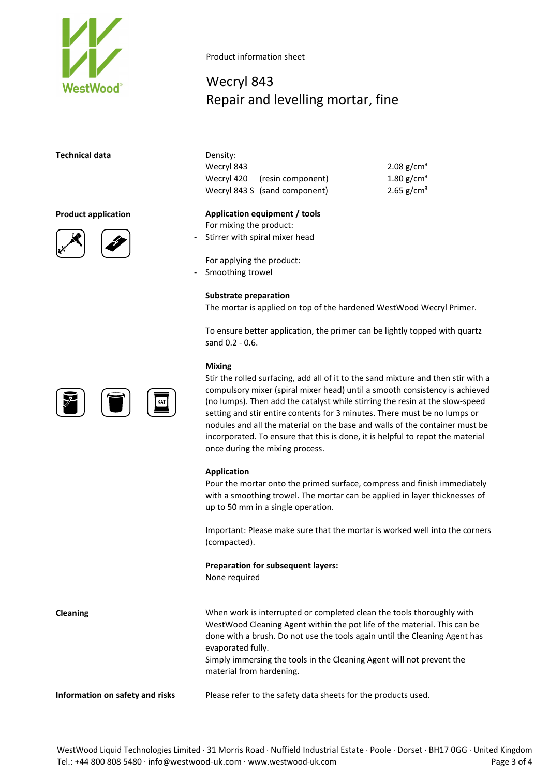

# **Technical data**





Product information sheet

# Wecryl 843 Repair and levelling mortar, fine

| Density:   |                               |                        |
|------------|-------------------------------|------------------------|
| Wecryl 843 |                               | 2.08 g/cm <sup>3</sup> |
|            | Wecryl 420 (resin component)  | 1.80 $g/cm^{3}$        |
|            | Wecryl 843 S (sand component) | 2.65 $g/cm3$           |

**Product application Application equipment / tools** For mixing the product: Stirrer with spiral mixer head

> For applying the product: Smoothing trowel

# **Substrate preparation**

The mortar is applied on top of the hardened WestWood Wecryl Primer.

To ensure better application, the primer can be lightly topped with quartz sand 0.2 - 0.6.

## **Mixing**

Stir the rolled surfacing, add all of it to the sand mixture and then stir with a compulsory mixer (spiral mixer head) until a smooth consistency is achieved (no lumps). Then add the catalyst while stirring the resin at the slow-speed setting and stir entire contents for 3 minutes. There must be no lumps or nodules and all the material on the base and walls of the container must be incorporated. To ensure that this is done, it is helpful to repot the material once during the mixing process.

## **Application**

Pour the mortar onto the primed surface, compress and finish immediately with a smoothing trowel. The mortar can be applied in layer thicknesses of up to 50 mm in a single operation.

Important: Please make sure that the mortar is worked well into the corners (compacted).

**Preparation for subsequent layers:**

None required

**Cleaning** When work is interrupted or completed clean the tools thoroughly with WestWood Cleaning Agent within the pot life of the material. This can be done with a brush. Do not use the tools again until the Cleaning Agent has evaporated fully.

Simply immersing the tools in the Cleaning Agent will not prevent the material from hardening.

**Information on safety and risks** Please refer to the safety data sheets for the products used.